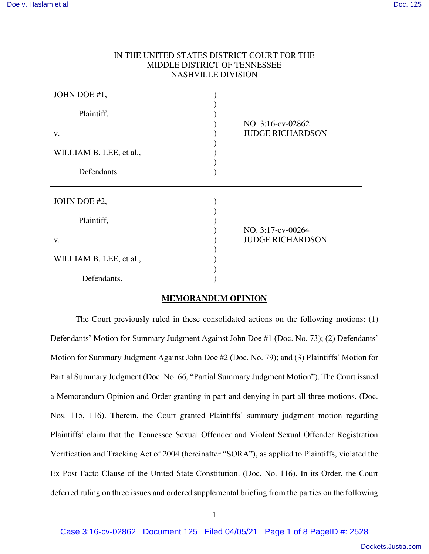| MIDDLE DISTRICT OF TENNESSEE |                                              |
|------------------------------|----------------------------------------------|
| <b>NASHVILLE DIVISION</b>    |                                              |
| JOHN DOE #1,                 |                                              |
| Plaintiff,                   | NO. 3:16-cv-02862                            |
| V.                           | <b>JUDGE RICHARDSON</b>                      |
| WILLIAM B. LEE, et al.,      |                                              |
| Defendants.                  |                                              |
| JOHN DOE #2,                 |                                              |
| Plaintiff,                   |                                              |
| V.                           | NO. 3:17-cv-00264<br><b>JUDGE RICHARDSON</b> |
| WILLIAM B. LEE, et al.,      |                                              |
| Defendants.                  |                                              |

IN THE UNITED STATES DISTRICT COURT FOR THE

# **MEMORANDUM OPINION**

The Court previously ruled in these consolidated actions on the following motions: (1) Defendants' Motion for Summary Judgment Against John Doe #1 (Doc. No. 73); (2) Defendants' Motion for Summary Judgment Against John Doe #2 (Doc. No. 79); and (3) Plaintiffs' Motion for Partial Summary Judgment (Doc. No. 66, "Partial Summary Judgment Motion"). The Court issued a Memorandum Opinion and Order granting in part and denying in part all three motions. (Doc. Nos. 115, 116). Therein, the Court granted Plaintiffs' summary judgment motion regarding Plaintiffs' claim that the Tennessee Sexual Offender and Violent Sexual Offender Registration Verification and Tracking Act of 2004 (hereinafter "SORA"), as applied to Plaintiffs, violated the Ex Post Facto Clause of the United State Constitution. (Doc. No. 116). In its Order, the Court deferred ruling on three issues and ordered supplemental briefing from the parties on the following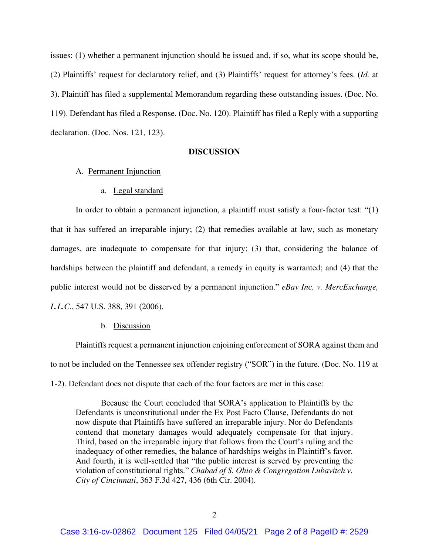issues: (1) whether a permanent injunction should be issued and, if so, what its scope should be, (2) Plaintiffs' request for declaratory relief, and (3) Plaintiffs' request for attorney's fees. (*Id.* at 3). Plaintiff has filed a supplemental Memorandum regarding these outstanding issues. (Doc. No. 119). Defendant has filed a Response. (Doc. No. 120). Plaintiff has filed a Reply with a supporting declaration. (Doc. Nos. 121, 123).

## **DISCUSSION**

#### A. Permanent Injunction

#### a. Legal standard

In order to obtain a permanent injunction, a plaintiff must satisfy a four-factor test: "(1) that it has suffered an irreparable injury; (2) that remedies available at law, such as monetary damages, are inadequate to compensate for that injury; (3) that, considering the balance of hardships between the plaintiff and defendant, a remedy in equity is warranted; and (4) that the public interest would not be disserved by a permanent injunction." *eBay Inc. v. MercExchange, L.L.C.*, 547 U.S. 388, 391 (2006).

#### b. Discussion

Plaintiffs request a permanent injunction enjoining enforcement of SORA against them and to not be included on the Tennessee sex offender registry ("SOR") in the future. (Doc. No. 119 at 1-2). Defendant does not dispute that each of the four factors are met in this case:

Because the Court concluded that SORA's application to Plaintiffs by the Defendants is unconstitutional under the Ex Post Facto Clause, Defendants do not now dispute that Plaintiffs have suffered an irreparable injury. Nor do Defendants contend that monetary damages would adequately compensate for that injury. Third, based on the irreparable injury that follows from the Court's ruling and the inadequacy of other remedies, the balance of hardships weighs in Plaintiff's favor. And fourth, it is well-settled that "the public interest is served by preventing the violation of constitutional rights." *Chabad of S. Ohio & Congregation Lubavitch v. City of Cincinnati*, 363 F.3d 427, 436 (6th Cir. 2004).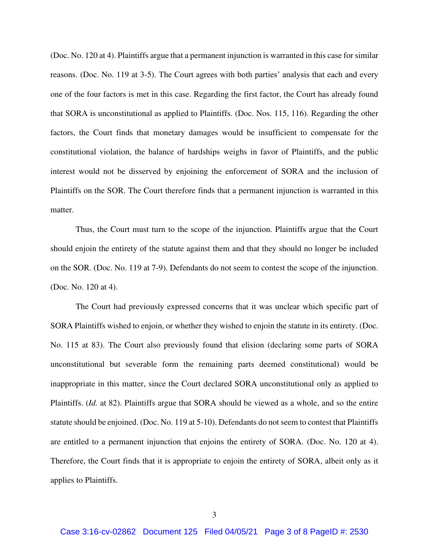(Doc. No. 120 at 4). Plaintiffs argue that a permanent injunction is warranted in this case for similar reasons. (Doc. No. 119 at 3-5). The Court agrees with both parties' analysis that each and every one of the four factors is met in this case. Regarding the first factor, the Court has already found that SORA is unconstitutional as applied to Plaintiffs. (Doc. Nos. 115, 116). Regarding the other factors, the Court finds that monetary damages would be insufficient to compensate for the constitutional violation, the balance of hardships weighs in favor of Plaintiffs, and the public interest would not be disserved by enjoining the enforcement of SORA and the inclusion of Plaintiffs on the SOR. The Court therefore finds that a permanent injunction is warranted in this matter.

 Thus, the Court must turn to the scope of the injunction. Plaintiffs argue that the Court should enjoin the entirety of the statute against them and that they should no longer be included on the SOR. (Doc. No. 119 at 7-9). Defendants do not seem to contest the scope of the injunction. (Doc. No. 120 at 4).

 The Court had previously expressed concerns that it was unclear which specific part of SORA Plaintiffs wished to enjoin, or whether they wished to enjoin the statute in its entirety. (Doc. No. 115 at 83). The Court also previously found that elision (declaring some parts of SORA unconstitutional but severable form the remaining parts deemed constitutional) would be inappropriate in this matter, since the Court declared SORA unconstitutional only as applied to Plaintiffs. (*Id.* at 82). Plaintiffs argue that SORA should be viewed as a whole, and so the entire statute should be enjoined. (Doc. No. 119 at 5-10). Defendants do not seem to contest that Plaintiffs are entitled to a permanent injunction that enjoins the entirety of SORA. (Doc. No. 120 at 4). Therefore, the Court finds that it is appropriate to enjoin the entirety of SORA, albeit only as it applies to Plaintiffs.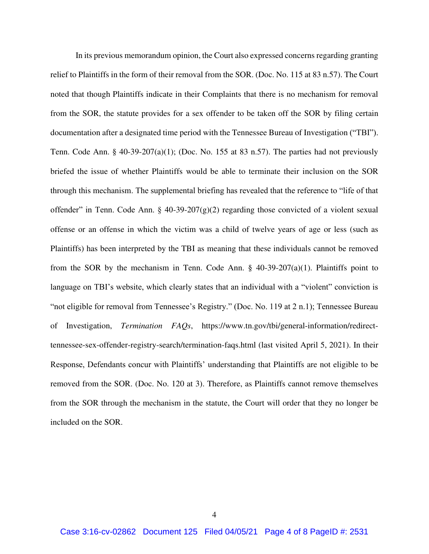In its previous memorandum opinion, the Court also expressed concerns regarding granting relief to Plaintiffs in the form of their removal from the SOR. (Doc. No. 115 at 83 n.57). The Court noted that though Plaintiffs indicate in their Complaints that there is no mechanism for removal from the SOR, the statute provides for a sex offender to be taken off the SOR by filing certain documentation after a designated time period with the Tennessee Bureau of Investigation ("TBI"). Tenn. Code Ann. § 40-39-207(a)(1); (Doc. No. 155 at 83 n.57). The parties had not previously briefed the issue of whether Plaintiffs would be able to terminate their inclusion on the SOR through this mechanism. The supplemental briefing has revealed that the reference to "life of that offender" in Tenn. Code Ann. § 40-39-207(g)(2) regarding those convicted of a violent sexual offense or an offense in which the victim was a child of twelve years of age or less (such as Plaintiffs) has been interpreted by the TBI as meaning that these individuals cannot be removed from the SOR by the mechanism in Tenn. Code Ann.  $\S$  40-39-207(a)(1). Plaintiffs point to language on TBI's website, which clearly states that an individual with a "violent" conviction is "not eligible for removal from Tennessee's Registry." (Doc. No. 119 at 2 n.1); Tennessee Bureau of Investigation, *Termination FAQs*, https://www.tn.gov/tbi/general-information/redirecttennessee-sex-offender-registry-search/termination-faqs.html (last visited April 5, 2021). In their Response, Defendants concur with Plaintiffs' understanding that Plaintiffs are not eligible to be removed from the SOR. (Doc. No. 120 at 3). Therefore, as Plaintiffs cannot remove themselves from the SOR through the mechanism in the statute, the Court will order that they no longer be included on the SOR.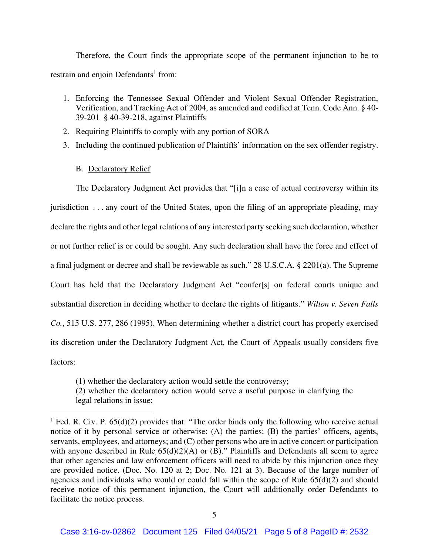Therefore, the Court finds the appropriate scope of the permanent injunction to be to restrain and enjoin Defendants<sup>1</sup> from:

- 1. Enforcing the Tennessee Sexual Offender and Violent Sexual Offender Registration, Verification, and Tracking Act of 2004, as amended and codified at Tenn. Code Ann. § 40- 39-201–§ 40-39-218, against Plaintiffs
- 2. Requiring Plaintiffs to comply with any portion of SORA
- 3. Including the continued publication of Plaintiffs' information on the sex offender registry.
	- B. Declaratory Relief

The Declaratory Judgment Act provides that "[i]n a case of actual controversy within its jurisdiction . . . any court of the United States, upon the filing of an appropriate pleading, may declare the rights and other legal relations of any interested party seeking such declaration, whether or not further relief is or could be sought. Any such declaration shall have the force and effect of a final judgment or decree and shall be reviewable as such." 28 U.S.C.A. § 2201(a). The Supreme Court has held that the Declaratory Judgment Act "confer[s] on federal courts unique and substantial discretion in deciding whether to declare the rights of litigants." *Wilton v. Seven Falls Co.*, 515 U.S. 277, 286 (1995). When determining whether a district court has properly exercised its discretion under the Declaratory Judgment Act, the Court of Appeals usually considers five factors:

(1) whether the declaratory action would settle the controversy;

(2) whether the declaratory action would serve a useful purpose in clarifying the legal relations in issue;

<sup>&</sup>lt;sup>1</sup> Fed. R. Civ. P.  $65(d)(2)$  provides that: "The order binds only the following who receive actual notice of it by personal service or otherwise: (A) the parties; (B) the parties' officers, agents, servants, employees, and attorneys; and (C) other persons who are in active concert or participation with anyone described in Rule  $65(d)(2)(A)$  or  $(B)$ ." Plaintiffs and Defendants all seem to agree that other agencies and law enforcement officers will need to abide by this injunction once they are provided notice. (Doc. No. 120 at 2; Doc. No. 121 at 3). Because of the large number of agencies and individuals who would or could fall within the scope of Rule  $65(d)(2)$  and should receive notice of this permanent injunction, the Court will additionally order Defendants to facilitate the notice process.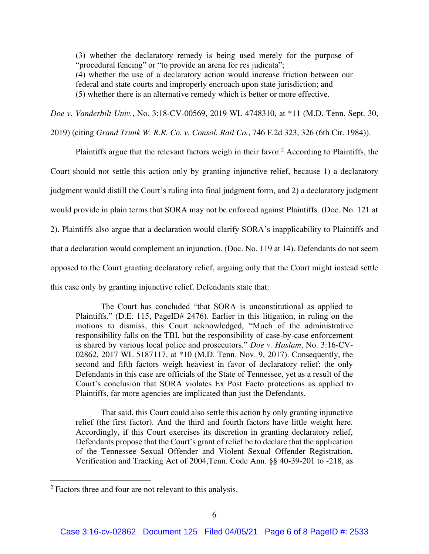(3) whether the declaratory remedy is being used merely for the purpose of "procedural fencing" or "to provide an arena for res judicata"; (4) whether the use of a declaratory action would increase friction between our federal and state courts and improperly encroach upon state jurisdiction; and (5) whether there is an alternative remedy which is better or more effective.

*Doe v. Vanderbilt Univ.*, No. 3:18-CV-00569, 2019 WL 4748310, at \*11 (M.D. Tenn. Sept. 30,

2019) (citing *Grand Trunk W. R.R. Co. v. Consol. Rail Co.*, 746 F.2d 323, 326 (6th Cir. 1984)).

Plaintiffs argue that the relevant factors weigh in their favor.<sup>2</sup> According to Plaintiffs, the Court should not settle this action only by granting injunctive relief, because 1) a declaratory judgment would distill the Court's ruling into final judgment form, and 2) a declaratory judgment would provide in plain terms that SORA may not be enforced against Plaintiffs. (Doc. No. 121 at 2). Plaintiffs also argue that a declaration would clarify SORA's inapplicability to Plaintiffs and that a declaration would complement an injunction. (Doc. No. 119 at 14). Defendants do not seem opposed to the Court granting declaratory relief, arguing only that the Court might instead settle this case only by granting injunctive relief. Defendants state that:

The Court has concluded "that SORA is unconstitutional as applied to Plaintiffs." (D.E. 115, PageID# 2476). Earlier in this litigation, in ruling on the motions to dismiss, this Court acknowledged, "Much of the administrative responsibility falls on the TBI, but the responsibility of case-by-case enforcement is shared by various local police and prosecutors." *Doe v. Haslam*, No. 3:16-CV-02862, 2017 WL 5187117, at \*10 (M.D. Tenn. Nov. 9, 2017). Consequently, the second and fifth factors weigh heaviest in favor of declaratory relief: the only Defendants in this case are officials of the State of Tennessee, yet as a result of the Court's conclusion that SORA violates Ex Post Facto protections as applied to Plaintiffs, far more agencies are implicated than just the Defendants.

That said, this Court could also settle this action by only granting injunctive relief (the first factor). And the third and fourth factors have little weight here. Accordingly, if this Court exercises its discretion in granting declaratory relief, Defendants propose that the Court's grant of relief be to declare that the application of the Tennessee Sexual Offender and Violent Sexual Offender Registration, Verification and Tracking Act of 2004,Tenn. Code Ann. §§ 40-39-201 to -218, as

<sup>&</sup>lt;sup>2</sup> Factors three and four are not relevant to this analysis.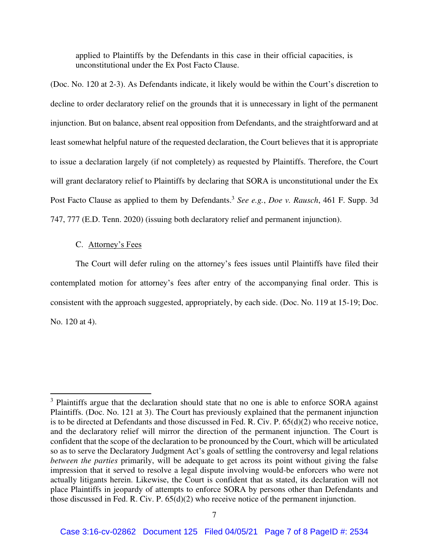applied to Plaintiffs by the Defendants in this case in their official capacities, is unconstitutional under the Ex Post Facto Clause.

(Doc. No. 120 at 2-3). As Defendants indicate, it likely would be within the Court's discretion to decline to order declaratory relief on the grounds that it is unnecessary in light of the permanent injunction. But on balance, absent real opposition from Defendants, and the straightforward and at least somewhat helpful nature of the requested declaration, the Court believes that it is appropriate to issue a declaration largely (if not completely) as requested by Plaintiffs. Therefore, the Court will grant declaratory relief to Plaintiffs by declaring that SORA is unconstitutional under the Ex Post Facto Clause as applied to them by Defendants.<sup>3</sup> See e.g., Doe v. Rausch, 461 F. Supp. 3d 747, 777 (E.D. Tenn. 2020) (issuing both declaratory relief and permanent injunction).

# C. Attorney's Fees

The Court will defer ruling on the attorney's fees issues until Plaintiffs have filed their contemplated motion for attorney's fees after entry of the accompanying final order. This is consistent with the approach suggested, appropriately, by each side. (Doc. No. 119 at 15-19; Doc. No. 120 at 4).

<sup>&</sup>lt;sup>3</sup> Plaintiffs argue that the declaration should state that no one is able to enforce SORA against Plaintiffs. (Doc. No. 121 at 3). The Court has previously explained that the permanent injunction is to be directed at Defendants and those discussed in Fed. R. Civ. P. 65(d)(2) who receive notice, and the declaratory relief will mirror the direction of the permanent injunction. The Court is confident that the scope of the declaration to be pronounced by the Court, which will be articulated so as to serve the Declaratory Judgment Act's goals of settling the controversy and legal relations *between the parties* primarily, will be adequate to get across its point without giving the false impression that it served to resolve a legal dispute involving would-be enforcers who were not actually litigants herein. Likewise, the Court is confident that as stated, its declaration will not place Plaintiffs in jeopardy of attempts to enforce SORA by persons other than Defendants and those discussed in Fed. R. Civ. P. 65(d)(2) who receive notice of the permanent injunction.